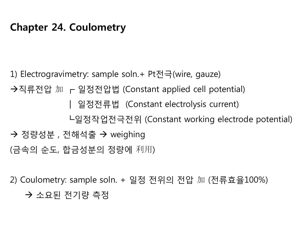# **Chapter 24. Coulometry**

1) Electrogravimetry: sample soln.+ Pt전극(wire, gauze)

직류전압 加 ┏ 일정전압법 (Constant applied cell potential)

┃ 일정전류법 (Constant electrolysis current)

┗일정작업전극전위 (Constant working electrode potential)

 $\rightarrow$  정량성분 , 전해석출  $\rightarrow$  weighing

(금속의 순도, 합금성분의 정량에 利用)

2) Coulometry: sample soln. + 일정 전위의 전압 加 (전류효율100%)

→ 소요된 전기량 측정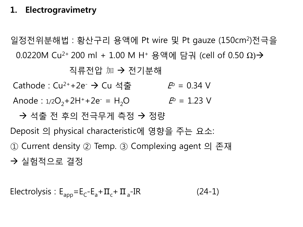## **1. Electrogravimetry**

일정전위분해법 : 황산구리 용액에 Pt wire 및 Pt gauze (150cm2)전극을 0.0220M Cu<sup>2+</sup> 200 ml + 1.00 M H<sup>+</sup> 용액에 담궈 (cell of 0.50 Ω)→

직류전압 加 → 전기분해

Cathode : Cu<sup>2+</sup>+2e<sup>-</sup> -> Cu 석출  $\mathcal{P} = 0.34$  V

Anode :  $1/2O_2 + 2H^+ + 2e^- = H_2O$   $\qquad P = 1.23$  V

→ 석출 전 후의 전극무게 측정 → 정량

Deposit 의 physical characteristic에 영향을 주는 요소: ① Current density ② Temp. ③ Complexing agent 의 존재

실험적으로 결정

Electrolysis :  $E_{app} = E_C - E_a + \Pi_c + \Pi_a - IR$  (24-1)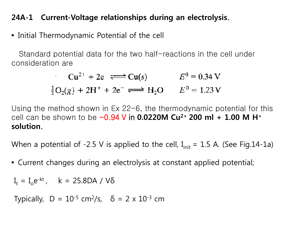#### **24A-1 Current-Voltage relationships during an electrolysis**.

▪ Initial Thermodynamic Potential of the cell

Standard potential data for the two half-reactions in the cell under consideration are

$$
Cu2+ + 2e \iff Cu(s) \qquad E0 = 0.34 V
$$
  
 $\frac{1}{2}O_2(g) + 2H^+ + 2e^- \iff H_2O \qquad E0 = 1.23 V$ 

Using the method shown in Ex 22-6, the thermodynamic potential for this cell can be shown to be -0.94 V in **0.0220M Cu2+ 200 ml + 1.00 M H+ solution**.

When a potential of -2.5 V is applied to the cell,  $I_{init} = 1.5$  A. (See Fig.14-1a)

▪ Current changes during an electrolysis at constant applied potential;

 $I_t = I_0 e^{-kt}$ , k = 25.8DA / Vδ

Typically,  $D = 10^{-5}$  cm<sup>2</sup>/s,  $\delta = 2 \times 10^{-3}$  cm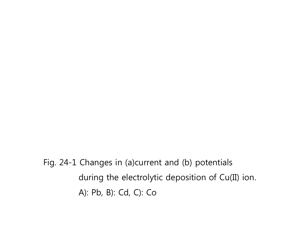Fig. 24-1 Changes in (a)current and (b) potentials during the electrolytic deposition of Cu(II) ion. A): Pb, B): Cd, C): Co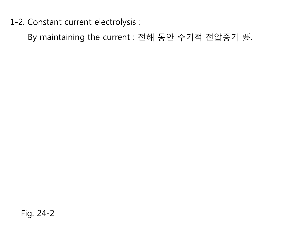1-2. Constant current electrolysis :

By maintaining the current : 전해 동안 주기적 전압증가 要.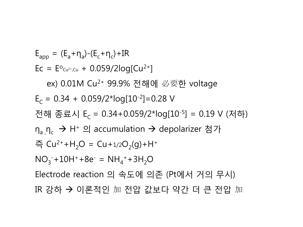$E_{app} = (E_a + \eta_a) - (E_c + \eta_c) + IR$  $EC = E^{o_{Cu^{2+},Cu}} + 0.059/2log[Cu^{2+}]$  ex) 0.01M Cu2+ 99.9% 전해에 必要한 voltage  $E_c = 0.34 + 0.059/2$ \*log[10<sup>-2</sup>]=0.28 V 전해 종료시 E<sub>C</sub> = 0.34+0.059/2\*log[10<sup>-5</sup>] = 0.19 V (저하) η<sub>a,</sub>η<sub>c</sub> → H<sup>+</sup> 의 accumulation → depolarizer 첨가 즉  $Cu^{2+}+H_{2}O = Cu+1/2O_{2}(q)+H^{+}$  $NO_3^- + 10H^+ + 8e^- = NH_4^+ + 3H_2O$  Electrode reaction 의 속도에 의존 (Pt에서 거의 무시) IR 강하 이론적인 加 전압 값보다 약간 더 큰 전압 加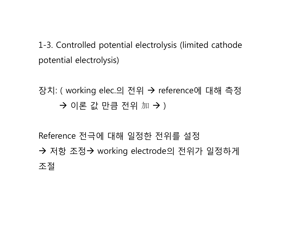1-3. Controlled potential electrolysis (limited cathode potential electrolysis)

# 장치: ( working elec.의 전위 reference에 대해 측정 → 이론 값 만큼 전위 加 → )

Reference 전극에 대해 일정한 전위를 설정 → 저항 조정→ working electrode의 전위가 일정하게 조절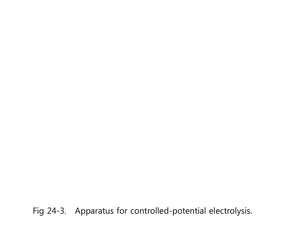Fig 24-3. Apparatus for controlled-potential electrolysis.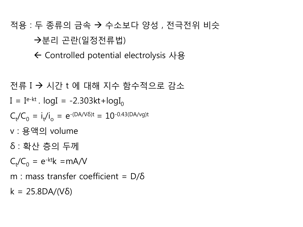# 적용 : 두 종류의 금속 수소보다 양성 , 전극전위 비슷 분리 곤란(일정전류법)

Controlled potential electrolysis 사용

전류 I 시간 t 에 대해 지수 함수적으로 감소 I = I e-kt . logI = -2.303kt+logI0 Ct /C0 = i t /i o = e-(DA/Vδ)t = 10-0.43(DA/vg)t v : 용액의 volume δ : 확산 층의 두께 Ct /C0 = e-ktk =mA/V m : mass transfer coefficient = D/δ k = 25.8DA/(Vδ)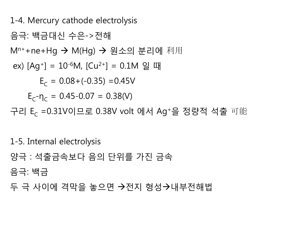1-4. Mercury cathode electrolysis 음극: 백금대신 수은->전해 M<sup>n+</sup>+ne+Hg → M(Hg) → 원소의 분리에 利用 ex)  $[Ag^+] = 10^{-6}M$ ,  $[Cu^{2+}] = 0.1M$  일 때  $E_c = 0.08 + (-0.35) = 0.45V$  $E_c - \eta_c = 0.45 - 0.07 = 0.38(V)$ 구리 E<sub>c</sub> =0.31V이므로 0.38V volt 에서 Ag+을 정량적 석출 可能

1-5. Internal electrolysis

양극 : 석출금속보다 음의 단위를 가진 금속

음극: 백금

두 극 사이에 격막을 놓으면 →전지 형성→내부전해법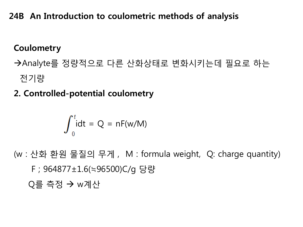# **24B An Introduction to coulometric methods of analysis**

# **Coulometry**

- Analyte를 정량적으로 다른 산화상태로 변화시키는데 필요로 하는 전기량
- **2. Controlled-potential coulometry**

$$
\int_0^t \mathrm{idt} = Q = nF(w/M)
$$

(w : 산화 환원 물질의 무게 , M : formula weight, Q: charge quantity) F ; 964877±1.6(≒96500)C/g 당량 Q를 측정 w계산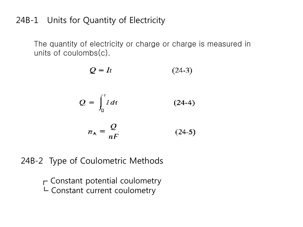### 24B-1 Units for Quantity of Electricity

The quantity of electricity or charge or charge is measured in units of coulombs(c).

$$
Q = It
$$
\n
$$
Q = \int_0^t i \, dt
$$
\n
$$
n_A = \frac{Q}{nF}
$$
\n(24-4)\n(24-5)

24B-2 Type of Coulometric Methods

 $\Gamma$  Constant potential coulometry  $L$  Constant current coulometry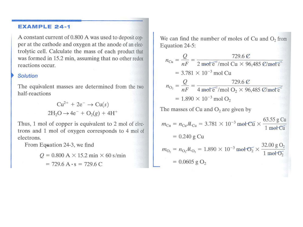#### **EXAMPLE 24-1**

A constant current of 0.800 A was used to deposit copper at the cathode and oxygen at the anode of an electrolytic cell. Calculate the mass of each product that was formed in 15.2 min, assuming that no other redox reactions occur.

#### **Solution**

The equivalent masses are determined from the two half-reactions

> $Cu^{2+} + 2e^- \rightarrow Cu(s)$  $2H_2O \rightarrow 4e^- + O_2(g) + 4H^+$

Thus, 1 mol of copper is equivalent to 2 mol of electrons and 1 mol of oxygen corresponds to 4 mol of electrons.

From Equation 24-3, we find

 $Q = 0.800 \text{ A} \times 15.2 \text{ min} \times 60 \text{ s/min}$  $= 729.6 A \cdot s = 729.6 C$ 

We can find the number of moles of Cu and  $O_2$  from Equation 24-5:

$$
n_{Cu} = \frac{Q}{nF} = \frac{729.6 \text{ C}}{2 \text{ mol } \text{C} \cdot 96,485 \text{ C/mol} \cdot \text{C}}
$$
  
= 3.781 × 10<sup>-3</sup> mol Cu  

$$
n_{O_2} = \frac{Q}{nF} = \frac{729.6 \text{ C}}{4 \text{ mol } \text{C}^{-}/\text{mol } O_2 \times 96,485 \text{ C/mol} \cdot \text{C}}
$$
  
= 1.890 × 10<sup>-3</sup> mol O<sub>2</sub>

The masses of Cu and  $O_2$  are given by

$$
m_{Cu} = n_{Cu}M_{Cu} = 3.781 \times 10^{-3} \text{ mol-Cu} \times \frac{63.55 \text{ g Cu}}{1 \text{ mol-Cu}}
$$
  
= 0.240 g Cu  

$$
m_{O_2} = n_{O_2}M_{O_2} = 1.890 \times 10^{-3} \text{ mol-Cu} \times \frac{32.00 \text{ g O}_2}{1 \text{ mol-Cu}}
$$
  
= 0.0605 g O<sub>2</sub>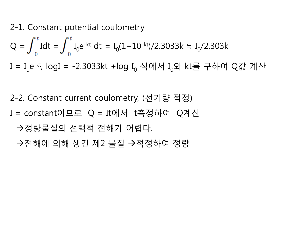2-1. Constant potential coulometry

Q = 
$$
\int_0^t
$$
Idt =  $\int_0^t$  I<sub>0</sub>e<sup>-kt</sup> dt = I<sub>0</sub>(1+10<sup>-kt</sup>)/2.3033k = I<sub>0</sub>/2.303k  
I = I<sub>0</sub>e<sup>-kt</sup>, logI = -2.3033kt + log I<sub>0</sub> 49M J<sub>0</sub>2t kt를 구하여 Q간 제산

2-2. Constant current coulometry, (전기량 적정) I = constant이므로 Q = It에서 t측정하여 Q계산 →정량물질의 선택적 전해가 어렵다. →전해에 의해 생긴 제2 물질 →적정하여 정량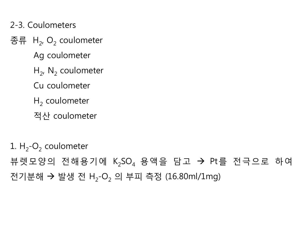2-3. Coulometers

종류  $H_2$ , O<sub>2</sub> coulometer

Ag coulometer

- $H_2$ , N<sub>2</sub> coulometer
- Cu coulometer
- $H<sub>2</sub>$  coulometer
- 적산 coulometer

1.  $H_2$ -O<sub>2</sub> coulometer 뷰렛모양의 전해용기에 K<sub>2</sub>SO<sub>4</sub> 용액을 담고 → Pt를 전극으로 하여 전기분해 → 발생 전 H<sub>2</sub>-O<sub>2</sub> 의 부피 측정 (16.80ml/1mg)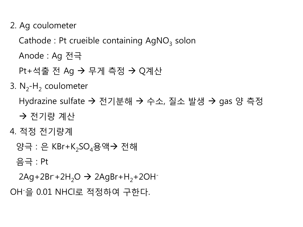2. Ag coulometer

Cathode : Pt crueible containing  $AgNO<sub>3</sub>$  solon

Anode : Ag 전극

Pt+석출 전 Ag → 무게 측정 → Q계산

3.  $N_2$ -H<sub>2</sub> coulometer

Hydrazine sulfate → 전기분해 → 수소, 질소 발생 → gas 양 측정

전기량 계산

4. 적정 전기량계

양극 : 은 KBr+K<sub>2</sub>SO<sub>4</sub>용액→ 전해

음극 : Pt

 $2$ Ag+2Br+2H<sub>2</sub>O  $\rightarrow$  2AgBr+H<sub>2</sub>+2OH<sup>-</sup>

OH-을 0.01 NHCl로 적정하여 구한다.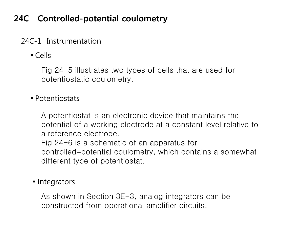# **24C Controlled-potential coulometry**

### 24C-1 Instrumentation

▪ Cells

Fig 24-5 illustrates two types of cells that are used for potentiostatic coulometry.

#### ▪ Potentiostats

A potentiostat is an electronic device that maintains the potential of a working electrode at a constant level relative to a reference electrode.

Fig 24-6 is a schematic of an apparatus for controlled=potential coulometry, which contains a somewhat different type of potentiostat.

#### • Integrators

As shown in Section 3E-3, analog integrators can be constructed from operational amplifier circuits.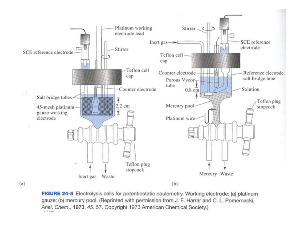

FIGURE 24-5 Electrolysis cells for potentiostatic coulometry. Working electrode: (a) platinum gauze; (b) mercury pool. (Reprinted with permission from J. E. Harrar and C. L. Pomernacki, Anal. Chem., 1973, 45, 57. Copyright 1973 American Chemical Society.)

 $(a)$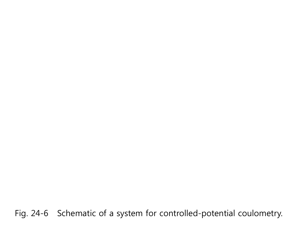Fig. 24-6 Schematic of a system for controlled-potential coulometry.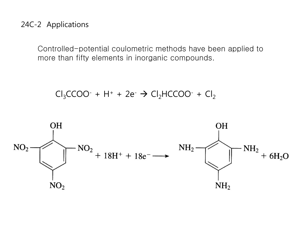#### 24C-2 Applications

Controlled-potential coulometric methods have been applied to more than fifty elements in inorganic compounds.

 $Cl_3CCOO^- + H^+ + 2e^- \rightarrow Cl_2HCCOO^- + Cl_2$ 

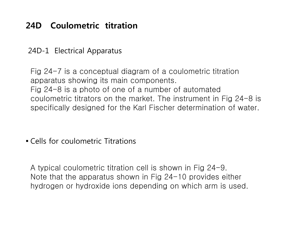# **24D Coulometric titration**

#### 24D-1 Electrical Apparatus

Fig 24-7 is a conceptual diagram of a coulometric titration apparatus showing its main components. Fig 24-8 is a photo of one of a number of automated coulometric titrators on the market. The instrument in Fig 24-8 is specifically designed for the Karl Fischer determination of water.

▪ Cells for coulometric Titrations

A typical coulometric titration cell is shown in Fig 24-9. Note that the apparatus shown in Fig 24-10 provides either hydrogen or hydroxide ions depending on which arm is used.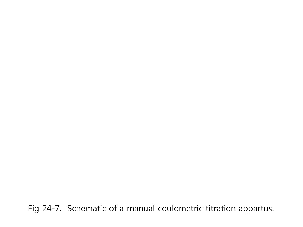Fig 24-7. Schematic of a manual coulometric titration appartus.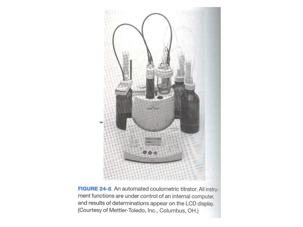

FIGURE 24-8 An automated coulometric titrator. All instrument functions are under control of an internal computer, and results of determinations appear on the LCD display. (Courtesy of Mettler-Toledo, Inc., Columbus, OH.)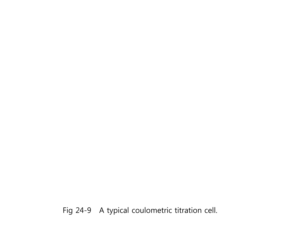Fig 24-9 A typical coulometric titration cell.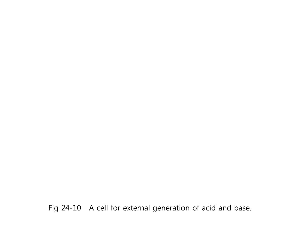Fig 24-10 A cell for external generation of acid and base.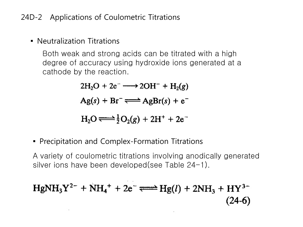#### 24D-2 Applications of Coulometric Titrations

### **• Neutralization Titrations**

Both weak and strong acids can be titrated with a high degree of accuracy using hydroxide ions generated at a cathode by the reaction.

> $2H_2O + 2e^- \longrightarrow 2OH^- + H_2(g)$  $Ag(s) + Br^- \rightleftharpoons AgBr(s) + e^ H_2O \rightleftharpoons \frac{1}{2}O_2(g) + 2H^+ + 2e^-$

**• Precipitation and Complex-Formation Titrations** 

A variety of coulometric titrations involving anodically generated silver ions have been developed(see Table 24-1).

$$
HgNH_3Y^{2-} + NH_4^+ + 2e^- \Longleftrightarrow Hg(l) + 2NH_3 + HY^{3-}
$$
\n(24-6)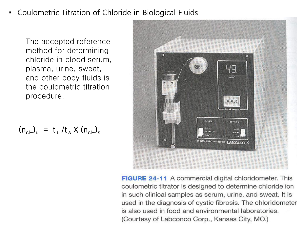#### ▪ Coulometric Titration of Chloride in Biological Fluids

The accepted reference method for determining chloride in blood serum, plasma, urine, sweat, and other body fluids is the coulometric titration procedure.

$$
\frac{1}{2}
$$

**FIGURE 24-11** A commercial digital chloridometer. This coulometric titrator is designed to determine chloride ion in such clinical samples as serum, urine, and sweat. It is used in the diagnosis of cystic fibrosis. The chloridometer is also used in food and environmental laboratories. (Courtesy of Labconco Corp., Kansas City, MO.)

$$
(n_{cl-})_{u} = t_{u}/t_{s} \times (n_{cl-})_{s}
$$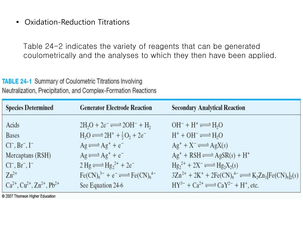**Oxidation-Reduction Titrations** 

Table 24-2 indicates the variety of reagents that can be generated coulometrically and the analyses to which they then have been applied.

#### **TABLE 24-1 Summary of Coulometric Titrations Involving** Neutralization, Precipitation, and Complex-Formation Reactions

| <b>Species Determined</b>                     | <b>Generator Electrode Reaction</b>                                        | <b>Secondary Analytical Reaction</b>                                         |
|-----------------------------------------------|----------------------------------------------------------------------------|------------------------------------------------------------------------------|
| Acids                                         | $2H2O + 2e^- \rightleftharpoons 2OH^- + H$                                 | $OH^- + H^+ \rightleftharpoons H2O$                                          |
| <b>Bases</b>                                  | $H_2O \rightleftharpoons 2H^+ + \frac{1}{2}O_2 + 2e^-$                     | $H^+$ + OH <sup><math>-</math></sup> $\rightleftharpoons$ H <sub>2</sub> O   |
| $CI^-$ , $Br^-$ , $I^-$                       | $Ag \rightleftharpoons Ag^+ + e^-$                                         | $Ag^+ + X^- \rightleftharpoons AgX(s)$                                       |
| Mercaptans (RSH)                              | $Ag \rightleftharpoons Ag^+ + e^-$                                         | $Ag^+$ + RSH $\Longrightarrow$ AgSR(s) + H <sup>+</sup>                      |
| $CI^-$ , $Br^-$ , $I^-$                       | $2 \text{ Hg} \rightleftharpoons \text{Hg}_2^{2+} + 2e^-$                  | $Hg_2^{2+} + 2X^- \rightleftharpoons Hg_2X_2(s)$                             |
| $Zn^{2+}$                                     | $\text{Fe(CN)}_{6}^{3-} + e^{-} \rightleftharpoons \text{Fe(CN)}_{6}^{4-}$ | $3Zn^{2+} + 2K^+ + 2Fe(CN)_6^{4-} \rightleftharpoons K_2Zn_3[Fe(CN)_6]_2(s)$ |
| $Ca^{2+}$ , $Cu^{2+}$ , $Zn^{2+}$ , $Pb^{2+}$ | See Equation 24-6                                                          | $HY^{3-} + Ca^{2+} \rightleftharpoons CaY^{2-} + H^+$ , etc.                 |

@ 2007 Thomson Higher Education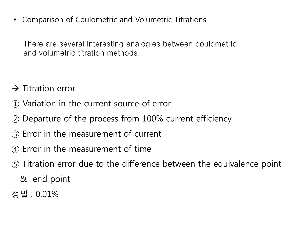▪ Comparison of Coulometric and Volumetric Titrations

There are several interesting analogies between coulometric and volumetric titration methods.

- $\rightarrow$  Titration error
- ① Variation in the current source of error
- ② Departure of the process from 100% current efficiency
- ③ Error in the measurement of current
- ④ Error in the measurement of time
- ⑤ Titration error due to the difference between the equivalence point
	- & end point
- 정밀 : 0.01%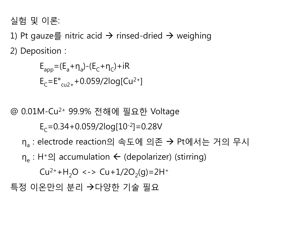실험 및 이론:

1) Pt gauze를 nitric acid  $\rightarrow$  rinsed-dried  $\rightarrow$  weighing 2) Deposition :

 $E_{\text{app}} = (E_{a} + \eta_{a}) - (E_{C} + \eta_{C}) + iR$  $E_C = E^{\circ}_{cu2+} + 0.059/2log[Cu^{2+}]$ 

@ 0.01M-Cu2+ 99.9% 전해에 필요한 Voltage

 $E_c = 0.34 + 0.059/2log[10^{-2}] = 0.28V$ 

η<sub>a</sub> : electrode reaction의 속도에 의존 → Pt에서는 거의 무시

 $\eta_{\alpha}$ : H<sup>+</sup>의 accumulation  $\leftarrow$  (depolarizer) (stirring)

 $Cu^{2+}+H_{2}O \leq S$  Cu+1/2O<sub>2</sub>(g)=2H<sup>+</sup>

특정 이온만의 분리 →다양한 기술 필요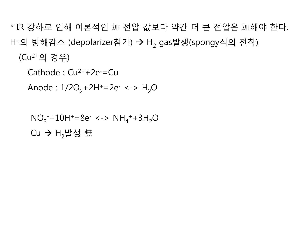\* IR 강하로 인해 이론적인 加 전압 값보다 약간 더 큰 전압은 加해야 한다. H<sup>+</sup>의 방해감소 (depolarizer첨가) → H<sub>2</sub> gas발생(spongy식의 전착) (Cu2+의 경우)

```
Cathode : Cu^{2+}+2e^- = Cu
```

```
Anode : 1/2O_2 + 2H^+ = 2e^- \leq -\frac{1}{2}O
```

```
NO_3^-+10H<sup>+</sup>=8e<sup>-</sup> <-> NH_4^++3H<sub>2</sub>O
Cu \rightarrow H<sub>2</sub>발생 無
```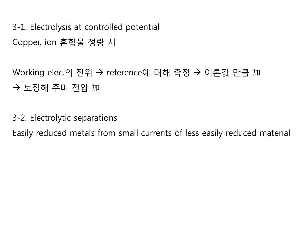3-1. Electrolysis at controlled potential Copper, ion 혼합물 정량 시

Working elec.의 전위 → reference에 대해 측정 → 이론값 만큼 加 보정해 주며 전압 加

3-2. Electrolytic separations

Easily reduced metals from small currents of less easily reduced material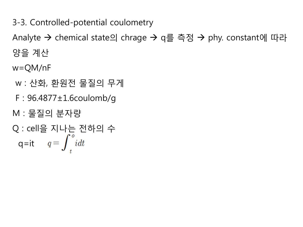3-3. Controlled-potential coulometry

Analyte → chemical state의 chrage → q를 측정 → phy. constant에 따라 양을 계산

w=QM/nF

- w : 산화, 환원전 물질의 무게
- F : 96.4877±1.6coulomb/g
- M : 물질의 분자량

Q : cell을 지나는 전하의 수  
q=it 
$$
q = \int_{t}^{0} i dt
$$